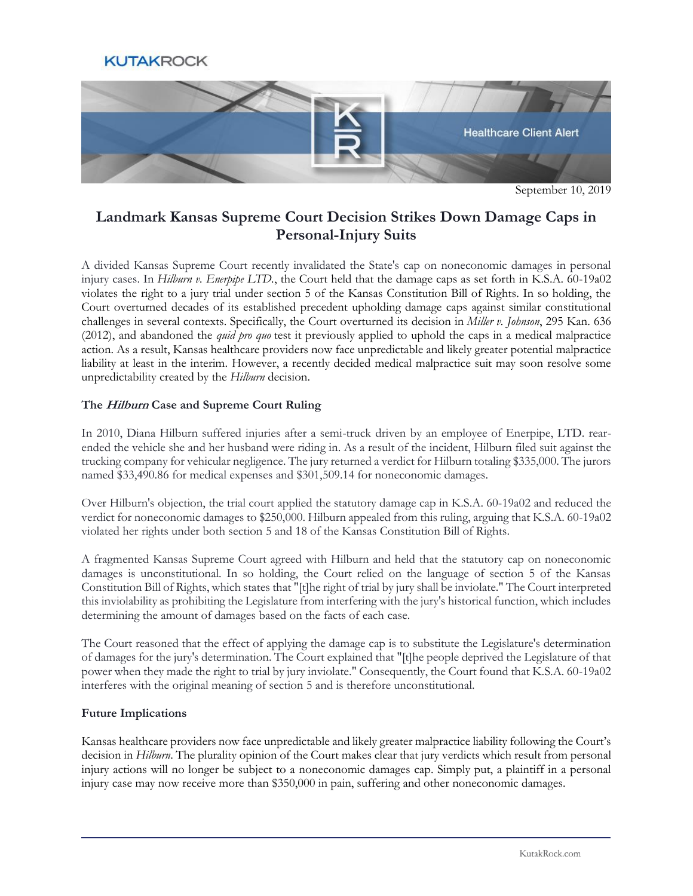# **KUTAKROCK**



September 10, 2019

# **Landmark Kansas Supreme Court Decision Strikes Down Damage Caps in Personal-Injury Suits**

A divided Kansas Supreme Court recently invalidated the State's cap on noneconomic damages in personal injury cases. In *Hilburn v. Enerpipe LTD.*, the Court held that the damage caps as set forth in K.S.A. 60-19a02 violates the right to a jury trial under section 5 of the Kansas Constitution Bill of Rights. In so holding, the Court overturned decades of its established precedent upholding damage caps against similar constitutional challenges in several contexts. Specifically, the Court overturned its decision in *Miller v. Johnson*, 295 Kan. 636 (2012), and abandoned the *quid pro quo* test it previously applied to uphold the caps in a medical malpractice action. As a result, Kansas healthcare providers now face unpredictable and likely greater potential malpractice liability at least in the interim. However, a recently decided medical malpractice suit may soon resolve some unpredictability created by the *Hilburn* decision.

## **The Hilburn Case and Supreme Court Ruling**

In 2010, Diana Hilburn suffered injuries after a semi-truck driven by an employee of Enerpipe, LTD. rearended the vehicle she and her husband were riding in. As a result of the incident, Hilburn filed suit against the trucking company for vehicular negligence. The jury returned a verdict for Hilburn totaling \$335,000. The jurors named \$33,490.86 for medical expenses and \$301,509.14 for noneconomic damages.

Over Hilburn's objection, the trial court applied the statutory damage cap in K.S.A. 60-19a02 and reduced the verdict for noneconomic damages to \$250,000. Hilburn appealed from this ruling, arguing that K.S.A. 60-19a02 violated her rights under both section 5 and 18 of the Kansas Constitution Bill of Rights.

A fragmented Kansas Supreme Court agreed with Hilburn and held that the statutory cap on noneconomic damages is unconstitutional. In so holding, the Court relied on the language of section 5 of the Kansas Constitution Bill of Rights, which states that "[t]he right of trial by jury shall be inviolate." The Court interpreted this inviolability as prohibiting the Legislature from interfering with the jury's historical function, which includes determining the amount of damages based on the facts of each case.

The Court reasoned that the effect of applying the damage cap is to substitute the Legislature's determination of damages for the jury's determination. The Court explained that "[t]he people deprived the Legislature of that power when they made the right to trial by jury inviolate." Consequently, the Court found that K.S.A. 60-19a02 interferes with the original meaning of section 5 and is therefore unconstitutional.

#### **Future Implications**

Kansas healthcare providers now face unpredictable and likely greater malpractice liability following the Court's decision in *Hilburn*. The plurality opinion of the Court makes clear that jury verdicts which result from personal injury actions will no longer be subject to a noneconomic damages cap. Simply put, a plaintiff in a personal injury case may now receive more than \$350,000 in pain, suffering and other noneconomic damages.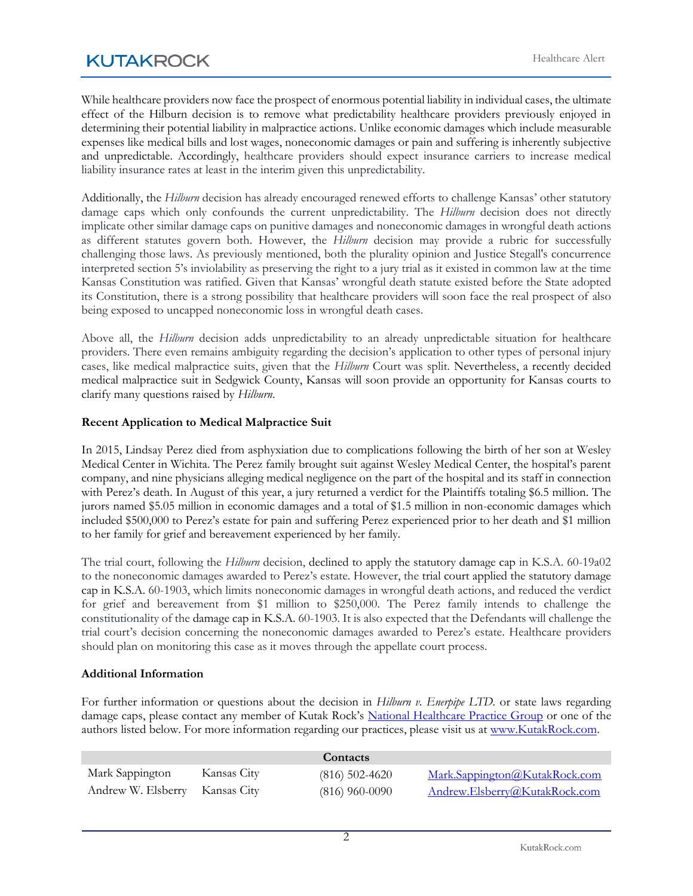While healthcare providers now face the prospect of enormous potential liability in individual cases, the ultimate effect of the Hilburn decision is to remove what predictability healthcare providers previously enjoyed in determining their potential liability in malpractice actions. Unlike economic damages which include measurable expenses like medical bills and lost wages, noneconomic damages or pain and suffering is inherently subjective and unpredictable. Accordingly, healthcare providers should expect insurance carriers to increase medical liability insurance rates at least in the interim given this unpredictability.

Additionally, the *Hilburn* decision has already encouraged renewed efforts to challenge Kansas' other statutory damage caps which only confounds the current unpredictability. The *Hilburn* decision does not directly implicate other similar damage caps on punitive damages and noneconomic damages in wrongful death actions as different statutes govern both. However, the *Hilburn* decision may provide a rubric for successfully challenging those laws. As previously mentioned, both the plurality opinion and Justice Stegall's concurrence interpreted section 5's inviolability as preserving the right to a jury trial as it existed in common law at the time Kansas Constitution was ratified. Given that Kansas' wrongful death statute existed before the State adopted its Constitution, there is a strong possibility that healthcare providers will soon face the real prospect of also being exposed to uncapped noneconomic loss in wrongful death cases.

Above all, the *Hilburn* decision adds unpredictability to an already unpredictable situation for healthcare providers. There even remains ambiguity regarding the decision's application to other types of personal injury cases, like medical malpractice suits, given that the *Hilburn* Court was split. Nevertheless, a recently decided medical malpractice suit in Sedgwick County, Kansas will soon provide an opportunity for Kansas courts to clarify many questions raised by *Hilburn*.

## **Recent Application to Medical Malpractice Suit**

In 2015, Lindsay Perez died from asphyxiation due to complications following the birth of her son at Wesley Medical Center in Wichita. The Perez family brought suit against Wesley Medical Center, the hospital's parent company, and nine physicians alleging medical negligence on the part of the hospital and its staff in connection with Perez's death. In August of this year, a jury returned a verdict for the Plaintiffs totaling \$6.5 million. The jurors named \$5.05 million in economic damages and a total of \$1.5 million in non-economic damages which included \$500,000 to Perez's estate for pain and suffering Perez experienced prior to her death and \$1 million to her family for grief and bereavement experienced by her family.

The trial court, following the *Hilburn* decision, declined to apply the statutory damage cap in K.S.A. 60-19a02 to the noneconomic damages awarded to Perez's estate. However, the trial court applied the statutory damage cap in K.S.A. 60-1903, which limits noneconomic damages in wrongful death actions, and reduced the verdict for grief and bereavement from \$1 million to \$250,000. The Perez family intends to challenge the constitutionality of the damage cap in K.S.A. 60-1903. It is also expected that the Defendants will challenge the trial court's decision concerning the noneconomic damages awarded to Perez's estate. Healthcare providers should plan on monitoring this case as it moves through the appellate court process.

#### **Additional Information**

For further information or questions about the decision in *Hilburn v. Enerpipe LTD.* or state laws regarding damage caps, please contact any member of Kutak Rock's [National Healthcare Practice Group](https://www.kutakrock.com/services/practices/healthcare) or one of the authors listed below. For more information regarding our practices, please visit us at [www.KutakRock.com.](http://www.kutakrock.com/)

|                                |             | Contacts         |                               |
|--------------------------------|-------------|------------------|-------------------------------|
| Mark Sappington                | Kansas City | $(816)$ 502-4620 | Mark.Sappington@KutakRock.com |
| Andrew W. Elsberry Kansas City |             | $(816)$ 960-0090 | Andrew.Elsberry@KutakRock.com |